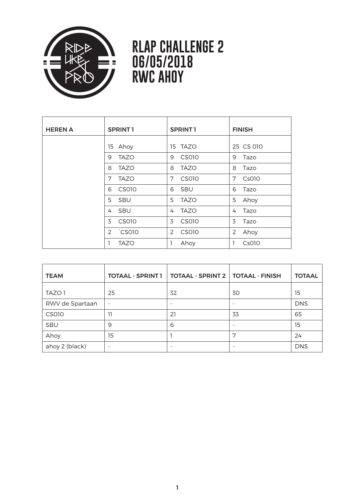

## **RLAP CHALLENGE 2 06/05/2018 RWC AHOY**

| <b>HEREN A</b> | <b>SPRINT1</b> | <b>SPRINT1</b> | <b>FINISH</b> |
|----------------|----------------|----------------|---------------|
|                | 15 Ahoy        | 15 TAZO        | 25 CS 010     |
|                | <b>TAZO</b>    | <b>CS010</b>   | 9             |
|                | 9              | 9              | Tazo          |
|                | <b>TAZO</b>    | 8              | 8             |
|                | 8              | <b>TAZO</b>    | Tazo          |
|                | 7              | 7              | 7             |
|                | <b>TAZO</b>    | CS010          | Cs010         |
|                | <b>CS010</b>   | <b>SBU</b>     | 6             |
|                | 6              | 6              | Tazo          |
|                | 5              | 5              | 5             |
|                | <b>SBU</b>     | <b>TAZO</b>    | Ahoy          |
|                | <b>SBU</b>     | <b>TAZO</b>    | Tazo          |
|                | 4              | 4              | 4             |
|                | CS010          | <b>CS010</b>   | 3             |
|                | 3              | 3              | Tazo          |
|                | 2 CS010        | CS010<br>2     | 2<br>Ahoy     |
|                | <b>TAZO</b>    | Ahoy           | 1<br>Cs010    |

| <b>TEAM</b>     | <b>TOTAAL - SPRINT 1</b> | <b>TOTAAL - SPRINT 2   TOTAAL - FINISH</b> |                          | <b>TOTAAL</b> |
|-----------------|--------------------------|--------------------------------------------|--------------------------|---------------|
| TAZO 1          | 25                       | 32                                         | 30                       | 15            |
| RWV de Spartaan | $\sim$                   | $\qquad \qquad$                            | ٠                        | <b>DNS</b>    |
| CS010           | 11                       | 21                                         | 33                       | 65            |
| SBU             | 9                        | 6                                          | $\overline{\phantom{a}}$ | 15            |
| Ahoy            | 15                       |                                            | 7                        | 24            |
| ahoy 2 (black)  | $\overline{\phantom{m}}$ | ٠                                          | $\overline{\phantom{m}}$ | <b>DNS</b>    |